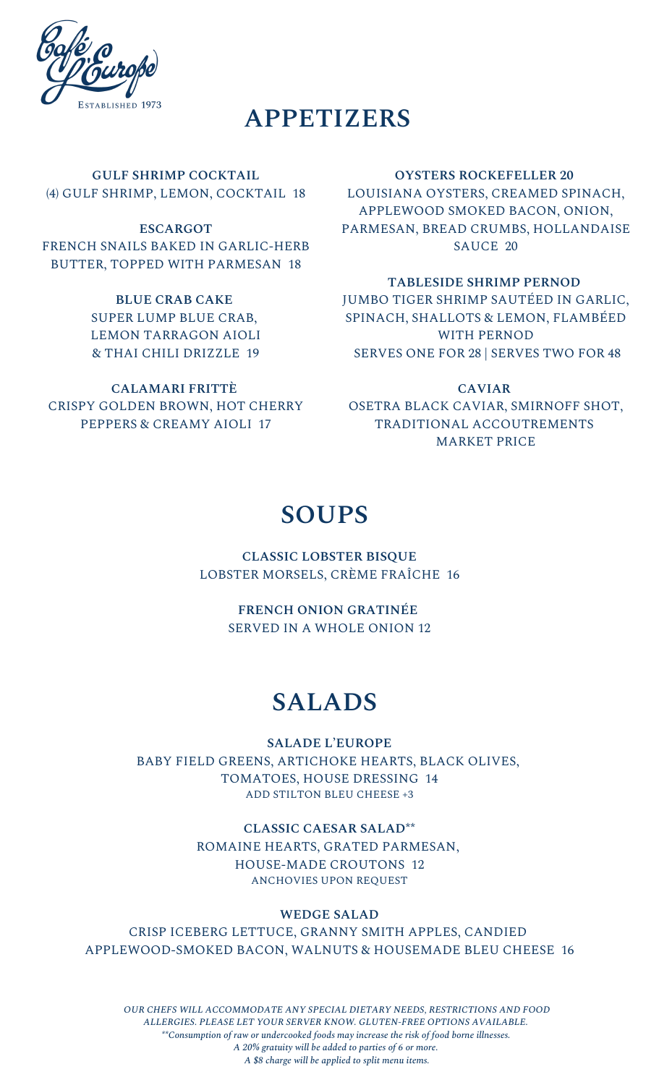

# **APPETIZERS**

**GULF SHRIMP COCKTAIL** (4) GULF SHRIMP, LEMON, COCKTAIL 18

**ESCARGOT** FRENCH SNAILS BAKED IN GARLIC-HERB BUTTER, TOPPED WITH PARMESAN 18

> **BLUE CRAB CAKE** SUPER LUMP BLUE CRAB, LEMON TARRAGON AIOLI & THAI CHILI DRIZZLE 19

**CALAMARI FRITTÈ** CRISPY GOLDEN BROWN, HOT CHERRY PEPPERS & CREAMY AIOLI 17

#### **OYSTERS ROCKEFELLER 20**

LOUISIANA OYSTERS, CREAMED SPINACH, APPLEWOOD SMOKED BACON, ONION, PARMESAN, BREAD CRUMBS, HOLLANDAISE SAUCE 20

#### **TABLESIDE SHRIMP PERNOD**

JUMBO TIGER SHRIMP SAUTÉED IN GARLIC, SPINACH, SHALLOTS & LEMON, FLAMBÉED WITH PERNOD SERVES ONE FOR 28 | SERVES TWO FOR 48

**CAVIAR** OSETRA BLACK CAVIAR, SMIRNOFF SHOT, TRADITIONAL ACCOUTREMENTS MARKET PRICE

### **SOUPS**

**CLASSIC LOBSTER BISQUE** LOBSTER MORSELS, CRÈME FRAÎCHE 16

> **FRENCH ONION GRATINÉE** SERVED IN A WHOLE ONION 12

## **SALADS**

**SALADE L'EUROPE** BABY FIELD GREENS, ARTICHOKE HEARTS, BLACK OLIVES, TOMATOES, HOUSE DRESSING 14 ADD STILTON BLEU CHEESE +3

**CLASSIC CAESAR SALAD\*\***

ROMAINE HEARTS, GRATED PARMESAN, HOUSE-MADE CROUTONS 12 ANCHOVIES UPON REQUEST

#### **WEDGE SALAD**

CRISP ICEBERG LETTUCE, GRANNY SMITH APPLES, CANDIED APPLEWOOD-SMOKED BACON, WALNUTS & HOUSEMADE BLEU CHEESE 16

*OUR CHEFS WILL ACCOMMODATE ANY SPECIAL DIETARY NEEDS, RESTRICTIONS AND FOOD ALLERGIES. PLEASE LET YOUR SERVER KNOW. GLUTEN-FREE OPTIONS AVAILABLE. \*\*Consumption of raw or undercooked foods may increase the risk of food borne illnesses. A 20% gratuity will be added to parties of 6 or more. A \$8 charge will be applied to split menu items.*